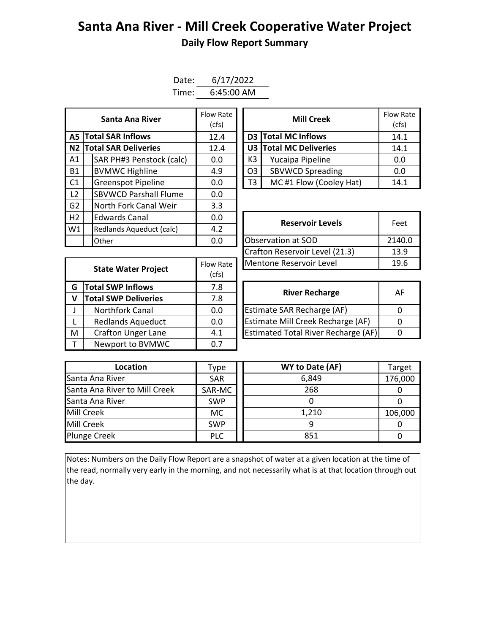## **Santa Ana River - Mill Creek Cooperative Water Project Daily Flow Report Summary**

| Date: | 6/17/2022  |
|-------|------------|
| Time: | 6:45:00 AM |

| Santa Ana River |  | Flow Rate<br>(cfs)           |      |  | <b>Mill Creek</b> |                         |       |  |
|-----------------|--|------------------------------|------|--|-------------------|-------------------------|-------|--|
|                 |  | <b>A5 Total SAR Inflows</b>  | 12.4 |  |                   | D3 Total MC Inflows     | 14.1  |  |
|                 |  | N2 Total SAR Deliveries      | 12.4 |  |                   | U3 Total MC Deliveries  | 14.1  |  |
| A1              |  | SAR PH#3 Penstock (calc)     | 0.0  |  | K3                | Yucaipa Pipeline        | 0.0   |  |
| <b>B1</b>       |  | <b>BVMWC Highline</b>        | 4.9  |  | O <sub>3</sub>    | <b>SBVWCD Spreading</b> | 0.0   |  |
| C <sub>1</sub>  |  | <b>Greenspot Pipeline</b>    | 0.0  |  | T3                | MC#1 Flow (Cooley Hat)  | 14.1  |  |
| L <sub>2</sub>  |  | <b>SBVWCD Parshall Flume</b> | 0.0  |  |                   |                         |       |  |
| G <sub>2</sub>  |  | North Fork Canal Weir        | 3.3  |  |                   |                         |       |  |
| H <sub>2</sub>  |  | <b>Edwards Canal</b>         | 0.0  |  |                   | <b>Reservoir Levels</b> | Feet  |  |
| W1              |  | Redlands Aqueduct (calc)     | 4.2  |  |                   |                         |       |  |
|                 |  | Other                        | 0.0  |  |                   | Observation at SOD      | 2140. |  |

| Santa Ana River         | Flow Rate<br>(cfs) |                               | <b>Mill Creek</b>      | <b>Flow Rate</b><br>(cfs) |
|-------------------------|--------------------|-------------------------------|------------------------|---------------------------|
| <b>I SAR Inflows</b>    | 12.4               |                               | D3 Total MC Inflows    | 14.1                      |
| <b>I SAR Deliveries</b> | 12.4               |                               | U3 Total MC Deliveries |                           |
| AR PH#3 Penstock (calc) | 0.0                | K3<br>Yucaipa Pipeline        |                        | 0.0                       |
| /MWC Highline           | 4.9                | <b>SBVWCD Spreading</b><br>03 |                        | 0.0                       |
| reenspot Pipeline       | 0.0                | T3                            | MC#1 Flow (Cooley Hat) | 14.1                      |

| <b>Edwards Canal</b><br>0.0              |     | <b>Reservoir Levels</b>        | Feet   |  |
|------------------------------------------|-----|--------------------------------|--------|--|
|                                          | 4.2 |                                |        |  |
| Redlands Aqueduct (calc)<br>0.0<br>Other |     | Observation at SOD             | 2140.0 |  |
|                                          |     | Crafton Reservoir Level (21.3) | 13.9   |  |
| Flow Rate<br><b>State Water Project</b>  |     | Mentone Reservoir Level        | 19.6   |  |
|                                          |     |                                |        |  |

|   | <b>State Water Project</b>  | Flow Rate | Mentone Reservoir Level                    |          |  |  |  |
|---|-----------------------------|-----------|--------------------------------------------|----------|--|--|--|
|   |                             | (cfs)     |                                            |          |  |  |  |
| G | <b>Total SWP Inflows</b>    |           | <b>River Recharge</b>                      | A        |  |  |  |
| v | <b>Total SWP Deliveries</b> | 7.8       |                                            |          |  |  |  |
|   | <b>Northfork Canal</b>      | 0.0       | Estimate SAR Recharge (AF)                 | $\Omega$ |  |  |  |
|   | <b>Redlands Aqueduct</b>    | 0.0       | Estimate Mill Creek Recharge (AF)          | $\Omega$ |  |  |  |
| M | <b>Crafton Unger Lane</b>   | 4.1       | <b>Estimated Total River Recharge (AF)</b> | 0        |  |  |  |
|   | Newport to BVMWC            | 0.7       |                                            |          |  |  |  |
|   |                             |           |                                            |          |  |  |  |

| <b>River Recharge</b>               | ΑF |
|-------------------------------------|----|
| Estimate SAR Recharge (AF)          |    |
| Estimate Mill Creek Recharge (AF)   |    |
| Estimated Total River Recharge (AF) |    |

| Location                      | Type       | WY to Date (AF) | Target  |
|-------------------------------|------------|-----------------|---------|
| Santa Ana River               | <b>SAR</b> | 6,849           | 176,000 |
| Santa Ana River to Mill Creek | SAR-MC     | 268             |         |
| Santa Ana River               | <b>SWP</b> |                 |         |
| Mill Creek                    | МC         | 1,210           | 106,000 |
| Mill Creek                    | <b>SWP</b> |                 |         |
| <b>Plunge Creek</b>           | <b>PLC</b> | 851             |         |

Notes: Numbers on the Daily Flow Report are a snapshot of water at a given location at the time of the read, normally very early in the morning, and not necessarily what is at that location through out the day.